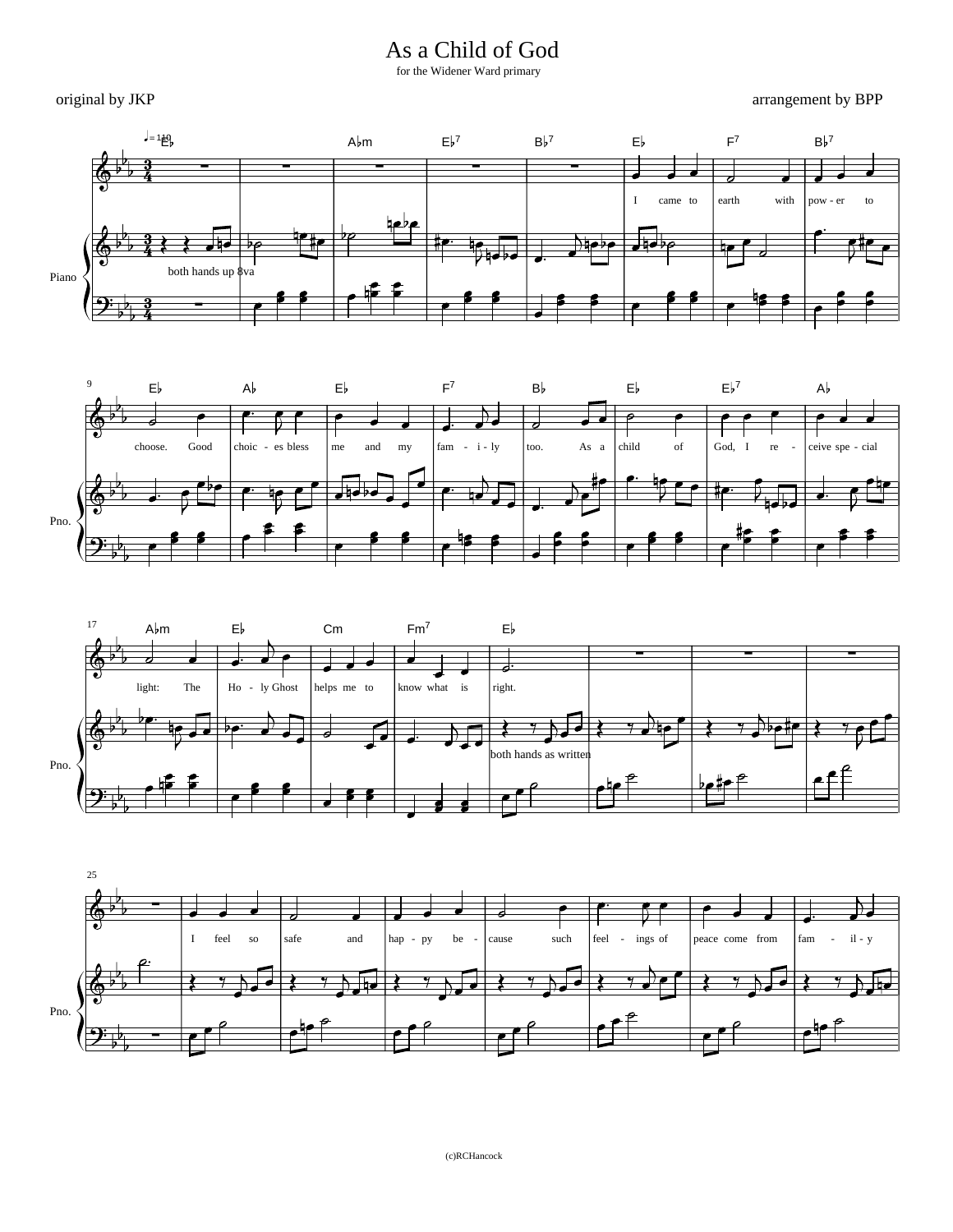As a Child of God

for the Widener Ward primary

original by JKP

arrangement by BPP